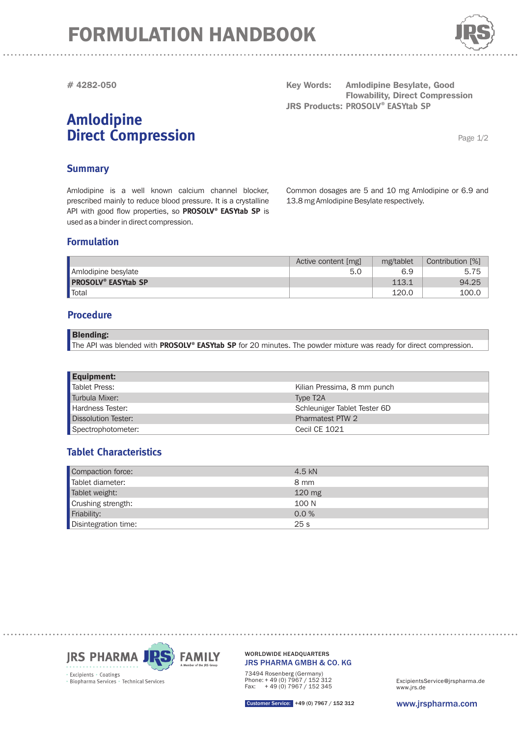# FORMULATION HANDBOOK



**# 4282-050**

## **Amlodipine Direct Compression**

**Key Words: Amlodipine Besylate, Good Flowability, Direct Compression JRS Products: PROSOLV® EASYtab SP** 

Page 1/2

#### **Summary**

Amlodipine is a well known calcium channel blocker, prescribed mainly to reduce blood pressure. It is a crystalline API with good flow properties, so PROSOLV® EASYtab SP is used as a binder in direct compression.

Common dosages are 5 and 10 mg Amlodipine or 6.9 and 13.8 mg Amlodipine Besylate respectively.

#### **Formulation**

|                                       | Active content [mg] | mg/tablet | Contribution [%] |
|---------------------------------------|---------------------|-----------|------------------|
| Amlodipine besylate                   |                     | 6.9       | 5.75             |
| <b>PROSOLV<sup>®</sup> EASYtab SP</b> |                     | 113.1     | 94.25            |
| <b>T</b> otal                         |                     | 120.0     | 100.C            |

#### **Procedure**

| <b>Blending:</b>                                                                                                  |  |
|-------------------------------------------------------------------------------------------------------------------|--|
| The API was blended with PROSOLV® EASYtab SP for 20 minutes. The powder mixture was ready for direct compression. |  |

| <b>Equipment:</b>   |                              |
|---------------------|------------------------------|
| Tablet Press:       | Kilian Pressima, 8 mm punch  |
| Turbula Mixer:      | Type T <sub>2</sub> A        |
| Hardness Tester:    | Schleuniger Tablet Tester 6D |
| Dissolution Tester: | Pharmatest PTW 2             |
| Spectrophotometer:  | Cecil CE 1021                |

### **Tablet Characteristics**

| Compaction force:    | 4.5 kN           |
|----------------------|------------------|
| Tablet diameter:     | 8 mm             |
| Tablet weight:       | $120 \text{ mg}$ |
| Crushing strength:   | 100 N            |
| Friability:          | 0.0 %            |
| Disintegration time: | 25 <sub>s</sub>  |



JRS PHARMA GMBH & CO. KG WORLDWIDE HEADQUARTERS

73494 Rosenberg (Germany) Phone: + 49 (0) 7967 / 152 312 Fax: + 49 (0) 7967 / 152 345

www.jrs.de ExcipientsService@jrspharma.de

Customer Service: +49 (0) 7967 / 152 312

www.jrspharma.com